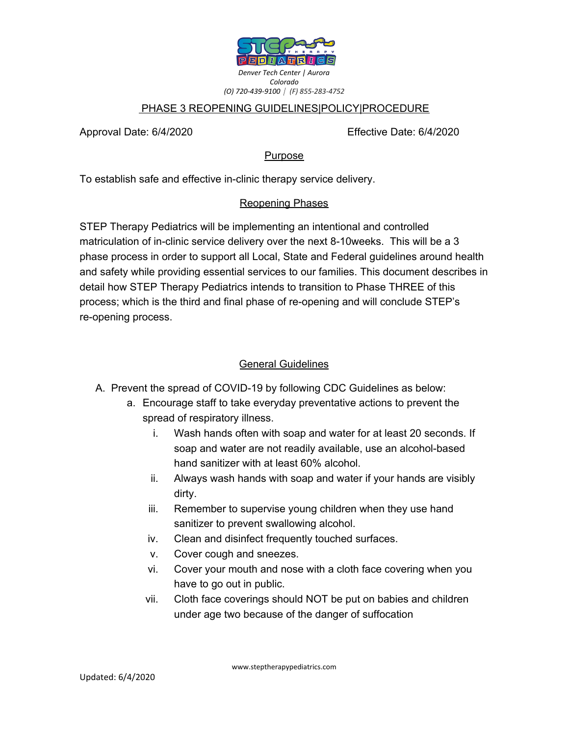

#### PHASE 3 REOPENING GUIDELINES|POLICY|PROCEDURE

Approval Date: 6/4/2020 Effective Date: 6/4/2020

**Purpose** 

To establish safe and effective in-clinic therapy service delivery.

#### Reopening Phases

STEP Therapy Pediatrics will be implementing an intentional and controlled matriculation of in-clinic service delivery over the next 8-10weeks. This will be a 3 phase process in order to support all Local, State and Federal guidelines around health and safety while providing essential services to our families. This document describes in detail how STEP Therapy Pediatrics intends to transition to Phase THREE of this process; which is the third and final phase of re-opening and will conclude STEP's re-opening process.

## General Guidelines

- A. Prevent the spread of COVID-19 by following CDC Guidelines as below:
	- a. Encourage staff to take everyday preventative actions to prevent the spread of respiratory illness.
		- i. Wash hands often with soap and water for at least 20 seconds. If soap and water are not readily available, use an alcohol-based hand sanitizer with at least 60% alcohol.
		- ii. Always wash hands with soap and water if your hands are visibly dirty.
		- iii. Remember to supervise young children when they use hand sanitizer to prevent swallowing alcohol.
		- iv. Clean and disinfect frequently touched surfaces.
		- v. Cover cough and sneezes.
		- vi. Cover your mouth and nose with a cloth face covering when you have to go out in public.
		- vii. Cloth face coverings should NOT be put on babies and children under age two because of the danger of suffocation

www.steptherapypediatrics.com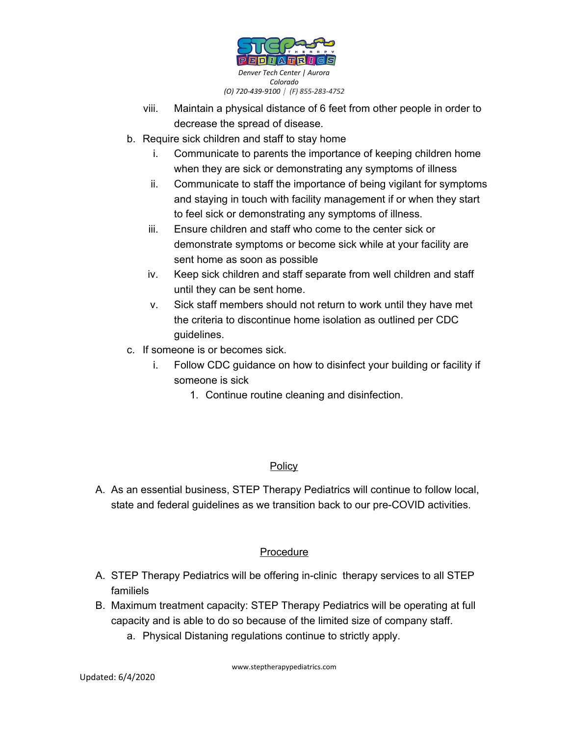

- viii. Maintain a physical distance of 6 feet from other people in order to decrease the spread of disease.
- b. Require sick children and staff to stay home
	- i. Communicate to parents the importance of keeping children home when they are sick or demonstrating any symptoms of illness
	- ii. Communicate to staff the importance of being vigilant for symptoms and staying in touch with facility management if or when they start to feel sick or demonstrating any symptoms of illness.
	- iii. Ensure children and staff who come to the center sick or demonstrate symptoms or become sick while at your facility are sent home as soon as possible
	- iv. Keep sick children and staff separate from well children and staff until they can be sent home.
	- v. Sick staff members should not return to work until they have met the criteria to discontinue home isolation as outlined per CDC guidelines.
- c. If someone is or becomes sick.
	- i. Follow CDC guidance on how to disinfect your building or facility if someone is sick
		- 1. Continue routine cleaning and disinfection.

## Policy

A. As an essential business, STEP Therapy Pediatrics will continue to follow local, state and federal guidelines as we transition back to our pre-COVID activities.

# Procedure

- A. STEP Therapy Pediatrics will be offering in-clinic therapy services to all STEP familiels
- B. Maximum treatment capacity: STEP Therapy Pediatrics will be operating at full capacity and is able to do so because of the limited size of company staff.
	- a. Physical Distaning regulations continue to strictly apply.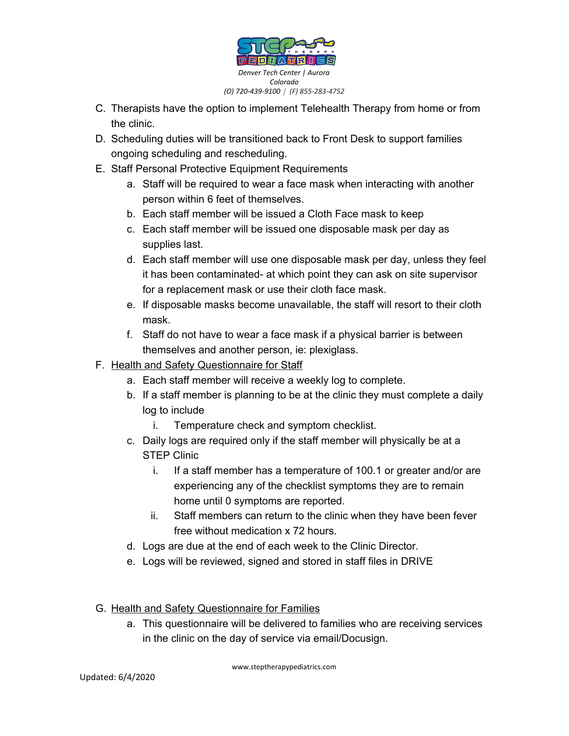

- C. Therapists have the option to implement Telehealth Therapy from home or from the clinic.
- D. Scheduling duties will be transitioned back to Front Desk to support families ongoing scheduling and rescheduling.
- E. Staff Personal Protective Equipment Requirements
	- a. Staff will be required to wear a face mask when interacting with another person within 6 feet of themselves.
	- b. Each staff member will be issued a Cloth Face mask to keep
	- c. Each staff member will be issued one disposable mask per day as supplies last.
	- d. Each staff member will use one disposable mask per day, unless they feel it has been contaminated- at which point they can ask on site supervisor for a replacement mask or use their cloth face mask.
	- e. If disposable masks become unavailable, the staff will resort to their cloth mask.
	- f. Staff do not have to wear a face mask if a physical barrier is between themselves and another person, ie: plexiglass.
- F. Health and Safety Questionnaire for Staff
	- a. Each staff member will receive a weekly log to complete.
	- b. If a staff member is planning to be at the clinic they must complete a daily log to include
		- i. Temperature check and symptom checklist.
	- c. Daily logs are required only if the staff member will physically be at a STEP Clinic
		- i. If a staff member has a temperature of 100.1 or greater and/or are experiencing any of the checklist symptoms they are to remain home until 0 symptoms are reported.
		- ii. Staff members can return to the clinic when they have been fever free without medication x 72 hours.
	- d. Logs are due at the end of each week to the Clinic Director.
	- e. Logs will be reviewed, signed and stored in staff files in DRIVE
- G. Health and Safety Questionnaire for Families
	- a. This questionnaire will be delivered to families who are receiving services in the clinic on the day of service via email/Docusign.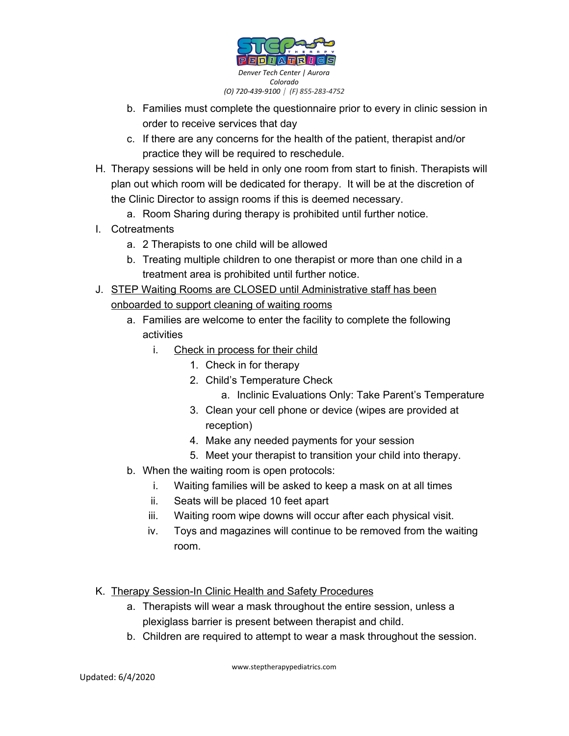

- b. Families must complete the questionnaire prior to every in clinic session in order to receive services that day
- c. If there are any concerns for the health of the patient, therapist and/or practice they will be required to reschedule.
- H. Therapy sessions will be held in only one room from start to finish. Therapists will plan out which room will be dedicated for therapy. It will be at the discretion of the Clinic Director to assign rooms if this is deemed necessary.
	- a. Room Sharing during therapy is prohibited until further notice.
- I. Cotreatments
	- a. 2 Therapists to one child will be allowed
	- b. Treating multiple children to one therapist or more than one child in a treatment area is prohibited until further notice.
- J. STEP Waiting Rooms are CLOSED until Administrative staff has been onboarded to support cleaning of waiting rooms
	- a. Families are welcome to enter the facility to complete the following activities
		- i. Check in process for their child
			- 1. Check in for therapy
			- 2. Child's Temperature Check
				- a. Inclinic Evaluations Only: Take Parent's Temperature
			- 3. Clean your cell phone or device (wipes are provided at reception)
			- 4. Make any needed payments for your session
			- 5. Meet your therapist to transition your child into therapy.
	- b. When the waiting room is open protocols:
		- i. Waiting families will be asked to keep a mask on at all times
		- ii. Seats will be placed 10 feet apart
		- iii. Waiting room wipe downs will occur after each physical visit.
		- iv. Toys and magazines will continue to be removed from the waiting room.
- K. Therapy Session-In Clinic Health and Safety Procedures
	- a. Therapists will wear a mask throughout the entire session, unless a plexiglass barrier is present between therapist and child.
	- b. Children are required to attempt to wear a mask throughout the session.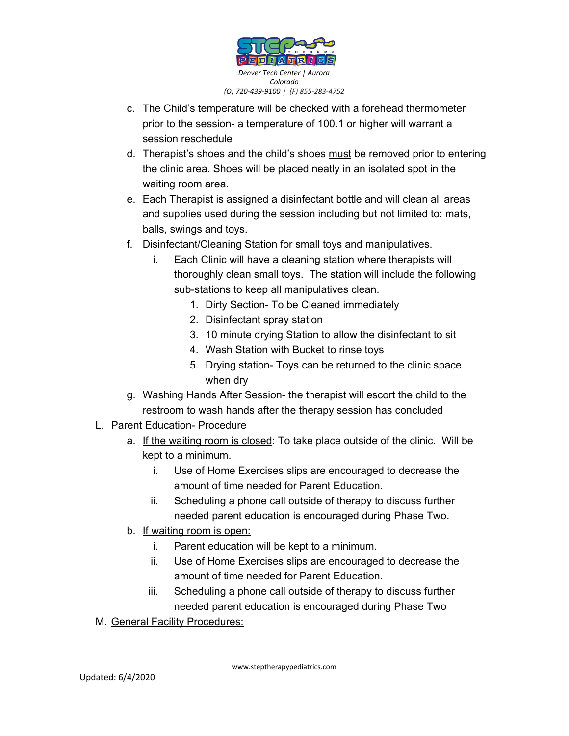

- c. The Child's temperature will be checked with a forehead thermometer prior to the session- a temperature of 100.1 or higher will warrant a session reschedule
- d. Therapist's shoes and the child's shoes must be removed prior to entering the clinic area. Shoes will be placed neatly in an isolated spot in the waiting room area.
- e. Each Therapist is assigned a disinfectant bottle and will clean all areas and supplies used during the session including but not limited to: mats, balls, swings and toys.
- f. Disinfectant/Cleaning Station for small toys and manipulatives.
	- i. Each Clinic will have a cleaning station where therapists will thoroughly clean small toys. The station will include the following sub-stations to keep all manipulatives clean.
		- 1. Dirty Section- To be Cleaned immediately
		- 2. Disinfectant spray station
		- 3. 10 minute drying Station to allow the disinfectant to sit
		- 4. Wash Station with Bucket to rinse toys
		- 5. Drying station- Toys can be returned to the clinic space when dry
- g. Washing Hands After Session- the therapist will escort the child to the restroom to wash hands after the therapy session has concluded
- L. Parent Education- Procedure
	- a. If the waiting room is closed: To take place outside of the clinic. Will be kept to a minimum.
		- i. Use of Home Exercises slips are encouraged to decrease the amount of time needed for Parent Education.
		- ii. Scheduling a phone call outside of therapy to discuss further needed parent education is encouraged during Phase Two.
	- b. If waiting room is open:
		- i. Parent education will be kept to a minimum.
		- ii. Use of Home Exercises slips are encouraged to decrease the amount of time needed for Parent Education.
		- iii. Scheduling a phone call outside of therapy to discuss further needed parent education is encouraged during Phase Two
- M. General Facility Procedures:

www.steptherapypediatrics.com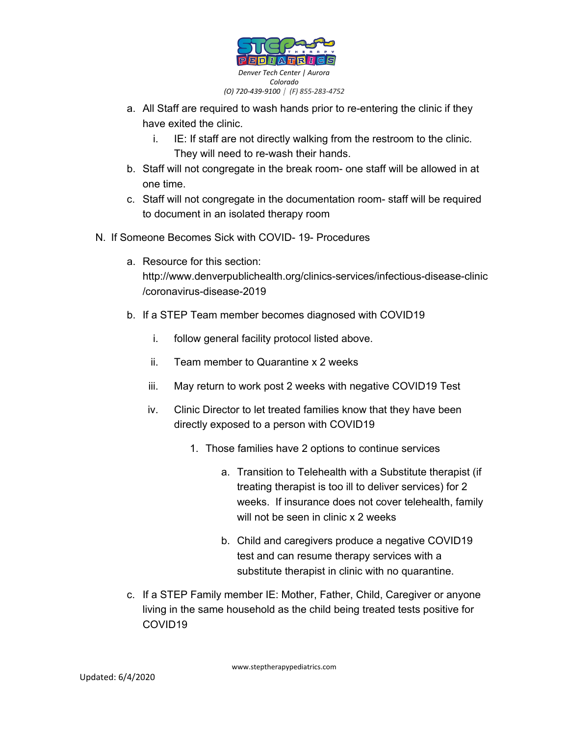

- a. All Staff are required to wash hands prior to re-entering the clinic if they have exited the clinic.
	- i. IE: If staff are not directly walking from the restroom to the clinic. They will need to re-wash their hands.
- b. Staff will not congregate in the break room- one staff will be allowed in at one time.
- c. Staff will not congregate in the documentation room- staff will be required to document in an isolated therapy room
- N. If Someone Becomes Sick with COVID- 19- Procedures
	- a. Resource for this section: http://www.denverpublichealth.org/clinics-services/infectious-disease-clinic /coronavirus-disease-2019
	- b. If a STEP Team member becomes diagnosed with COVID19
		- i. follow general facility protocol listed above.
		- ii. Team member to Quarantine x 2 weeks
		- iii. May return to work post 2 weeks with negative COVID19 Test
		- iv. Clinic Director to let treated families know that they have been directly exposed to a person with COVID19
			- 1. Those families have 2 options to continue services
				- a. Transition to Telehealth with a Substitute therapist (if treating therapist is too ill to deliver services) for 2 weeks. If insurance does not cover telehealth, family will not be seen in clinic x 2 weeks
				- b. Child and caregivers produce a negative COVID19 test and can resume therapy services with a substitute therapist in clinic with no quarantine.
	- c. If a STEP Family member IE: Mother, Father, Child, Caregiver or anyone living in the same household as the child being treated tests positive for COVID19